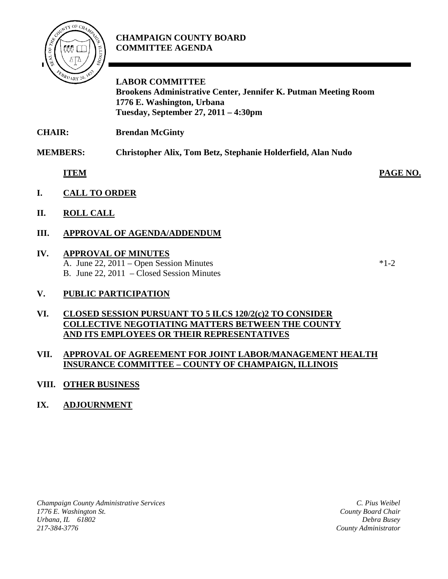

## **CHAMPAIGN COUNTY BOARD COMMITTEE AGENDA**

**LABOR COMMITTEE Brookens Administrative Center, Jennifer K. Putman Meeting Room 1776 E. Washington, Urbana Tuesday, September 27, 2011 – 4:30pm**

**CHAIR: Brendan McGinty**

**MEMBERS: Christopher Alix, Tom Betz, Stephanie Holderfield, Alan Nudo**

**ITEM PAGE NO.**

- **I. CALL TO ORDER**
- **II. ROLL CALL**
- **III. APPROVAL OF AGENDA/ADDENDUM**

## **IV. APPROVAL OF MINUTES**

- A. June  $22$ ,  $2011 -$ Open Session Minutes  $*1-2$ B. June 22, 2011 – Closed Session Minutes
- **V. PUBLIC PARTICIPATION**

### **VI. CLOSED SESSION PURSUANT TO 5 ILCS 120/2(c)2 TO CONSIDER COLLECTIVE NEGOTIATING MATTERS BETWEEN THE COUNTY AND ITS EMPLOYEES OR THEIR REPRESENTATIVES**

#### **VII. APPROVAL OF AGREEMENT FOR JOINT LABOR/MANAGEMENT HEALTH INSURANCE COMMITTEE – COUNTY OF CHAMPAIGN, ILLINOIS**

## **VIII. OTHER BUSINESS**

## **IX. ADJOURNMENT**

*Champaign County Administrative Services 1776 E. Washington St. Urbana, IL 61802 217-384-3776*

*C. Pius Weibel County Board Chair Debra Busey County Administrator*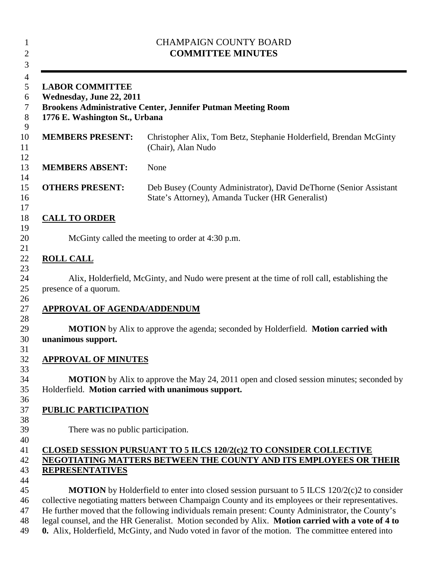| <b>CHAMPAIGN COUNTY BOARD</b><br><b>COMMITTEE MINUTES</b><br><b>LABOR COMMITTEE</b><br>Wednesday, June 22, 2011<br><b>Brookens Administrative Center, Jennifer Putman Meeting Room</b><br>1776 E. Washington St., Urbana |                                                                                                                                                       |
|--------------------------------------------------------------------------------------------------------------------------------------------------------------------------------------------------------------------------|-------------------------------------------------------------------------------------------------------------------------------------------------------|
|                                                                                                                                                                                                                          |                                                                                                                                                       |
| <b>MEMBERS ABSENT:</b>                                                                                                                                                                                                   | None                                                                                                                                                  |
| <b>OTHERS PRESENT:</b>                                                                                                                                                                                                   | Deb Busey (County Administrator), David DeThorne (Senior Assistant<br>State's Attorney), Amanda Tucker (HR Generalist)                                |
| <b>CALL TO ORDER</b>                                                                                                                                                                                                     |                                                                                                                                                       |
|                                                                                                                                                                                                                          | McGinty called the meeting to order at 4:30 p.m.                                                                                                      |
| <b>ROLL CALL</b>                                                                                                                                                                                                         |                                                                                                                                                       |
|                                                                                                                                                                                                                          |                                                                                                                                                       |
| presence of a quorum.                                                                                                                                                                                                    | Alix, Holderfield, McGinty, and Nudo were present at the time of roll call, establishing the                                                          |
| <b>APPROVAL OF AGENDA/ADDENDUM</b>                                                                                                                                                                                       |                                                                                                                                                       |
| unanimous support.                                                                                                                                                                                                       | <b>MOTION</b> by Alix to approve the agenda; seconded by Holderfield. <b>Motion carried with</b>                                                      |
| <u>APPROVAL OF MINUTES</u>                                                                                                                                                                                               |                                                                                                                                                       |
|                                                                                                                                                                                                                          | <b>MOTION</b> by Alix to approve the May 24, 2011 open and closed session minutes; seconded by<br>Holderfield. Motion carried with unanimous support. |
| <b>PUBLIC PARTICIPATION</b>                                                                                                                                                                                              |                                                                                                                                                       |
| There was no public participation.                                                                                                                                                                                       |                                                                                                                                                       |
|                                                                                                                                                                                                                          | <b>CLOSED SESSION PURSUANT TO 5 ILCS 120/2(c)2 TO CONSIDER COLLECTIVE</b>                                                                             |
|                                                                                                                                                                                                                          | NEGOTIATING MATTERS BETWEEN THE COUNTY AND ITS EMPLOYEES OR THEIR                                                                                     |
| <b>REPRESENTATIVES</b>                                                                                                                                                                                                   |                                                                                                                                                       |
|                                                                                                                                                                                                                          | <b>MOTION</b> by Holderfield to enter into closed session pursuant to 5 ILCS $120/2(c)2$ to consider                                                  |
|                                                                                                                                                                                                                          | collective negotiating matters between Champaign County and its employees or their representatives.                                                   |
|                                                                                                                                                                                                                          | He further moved that the following individuals remain present: County Administrator, the County's                                                    |
|                                                                                                                                                                                                                          | legal counsel, and the HR Generalist. Motion seconded by Alix. Motion carried with a vote of 4 to                                                     |
|                                                                                                                                                                                                                          | 0. Alix, Holderfield, McGinty, and Nudo voted in favor of the motion. The committee entered into                                                      |